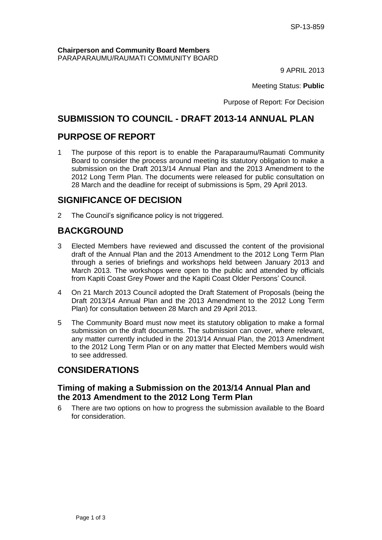#### **Chairperson and Community Board Members** PARAPARAUMU/RAUMATI COMMUNITY BOARD

9 APRIL 2013

Meeting Status: **Public**

Purpose of Report: For Decision

# **SUBMISSION TO COUNCIL - DRAFT 2013-14 ANNUAL PLAN**

# **PURPOSE OF REPORT**

1 The purpose of this report is to enable the Paraparaumu/Raumati Community Board to consider the process around meeting its statutory obligation to make a submission on the Draft 2013/14 Annual Plan and the 2013 Amendment to the 2012 Long Term Plan. The documents were released for public consultation on 28 March and the deadline for receipt of submissions is 5pm, 29 April 2013.

# **SIGNIFICANCE OF DECISION**

2 The Council's significance policy is not triggered.

# **BACKGROUND**

- 3 Elected Members have reviewed and discussed the content of the provisional draft of the Annual Plan and the 2013 Amendment to the 2012 Long Term Plan through a series of briefings and workshops held between January 2013 and March 2013. The workshops were open to the public and attended by officials from Kapiti Coast Grey Power and the Kapiti Coast Older Persons' Council.
- 4 On 21 March 2013 Council adopted the Draft Statement of Proposals (being the Draft 2013/14 Annual Plan and the 2013 Amendment to the 2012 Long Term Plan) for consultation between 28 March and 29 April 2013.
- 5 The Community Board must now meet its statutory obligation to make a formal submission on the draft documents. The submission can cover, where relevant, any matter currently included in the 2013/14 Annual Plan, the 2013 Amendment to the 2012 Long Term Plan or on any matter that Elected Members would wish to see addressed.

# **CONSIDERATIONS**

### **Timing of making a Submission on the 2013/14 Annual Plan and the 2013 Amendment to the 2012 Long Term Plan**

6 There are two options on how to progress the submission available to the Board for consideration.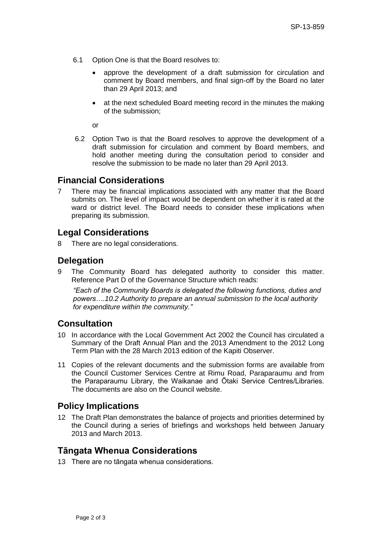- 6.1 Option One is that the Board resolves to:
	- approve the development of a draft submission for circulation and comment by Board members, and final sign-off by the Board no later than 29 April 2013; and
	- at the next scheduled Board meeting record in the minutes the making of the submission;

or

6.2 Option Two is that the Board resolves to approve the development of a draft submission for circulation and comment by Board members, and hold another meeting during the consultation period to consider and resolve the submission to be made no later than 29 April 2013.

### **Financial Considerations**

7 There may be financial implications associated with any matter that the Board submits on. The level of impact would be dependent on whether it is rated at the ward or district level. The Board needs to consider these implications when preparing its submission.

### **Legal Considerations**

8 There are no legal considerations.

### **Delegation**

9 The Community Board has delegated authority to consider this matter. Reference Part D of the Governance Structure which reads:

*"Each of the Community Boards is delegated the following functions, duties and powers….10.2 Authority to prepare an annual submission to the local authority for expenditure within the community."*

### **Consultation**

- 10 In accordance with the Local Government Act 2002 the Council has circulated a Summary of the Draft Annual Plan and the 2013 Amendment to the 2012 Long Term Plan with the 28 March 2013 edition of the Kapiti Observer.
- 11 Copies of the relevant documents and the submission forms are available from the Council Customer Services Centre at Rimu Road, Paraparaumu and from the Paraparaumu Library, the Waikanae and Ōtaki Service Centres/Libraries. The documents are also on the Council website.

### **Policy Implications**

12 The Draft Plan demonstrates the balance of projects and priorities determined by the Council during a series of briefings and workshops held between January 2013 and March 2013.

### **Tāngata Whenua Considerations**

13 There are no tāngata whenua considerations.